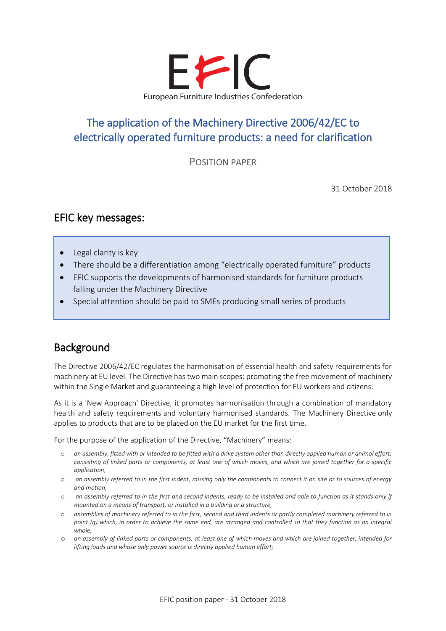

# The application of the [Machinery Directive 2006/42/EC](https://eur-lex.europa.eu/legal-content/EN/TXT/?uri=CELEX:32006L0042&locale=en) to electrically operated furniture products: a need for clarification

POSITION PAPER

31 October 2018

## EFIC key messages:

• Legal clarity is key

Ī

I

I

I

- There should be a differentiation among "electrically operated furniture" products
- EFIC supports the developments of harmonised standards for furniture products falling under the Machinery Directive
- Special attention should be paid to SMEs producing small series of products

## Background

The Directive 2006/42/EC regulates the harmonisation of essential health and safety requirements for machinery at EU level. The Directive has two main scopes: promoting the free movement of machinery within the Single Market and guaranteeing a high level of protection for EU workers and citizens.

As it is a 'New Approach' Directive, it promotes harmonisation through a combination of mandatory health and safety requirements and voluntary harmonised standards. The Machinery Directive only applies to products that are to be placed on the EU market for the first time.

For the purpose of the application of the Directive, "Machinery" means:

- o *an assembly, fitted with or intended to be fitted with a drive system other than directly applied human or animal effort, consisting of linked parts or components, at least one of which moves, and which are joined together for a specific application,*
- o *an assembly referred to in the first indent, missing only the components to connect it on site or to sources of energy and motion,*
- o *an assembly referred to in the first and second indents, ready to be installed and able to function as it stands only if mounted on a means of transport, or installed in a building or a structure,*
- o *assemblies of machinery referred to in the first, second and third indents or partly completed machinery referred to in*  point (q) which, in order to achieve the same end, are arranged and controlled so that they function as an integral *whole,*
- o *an assembly of linked parts or components, at least one of which moves and which are joined together, intended for lifting loads and whose only power source is directly applied human effort;*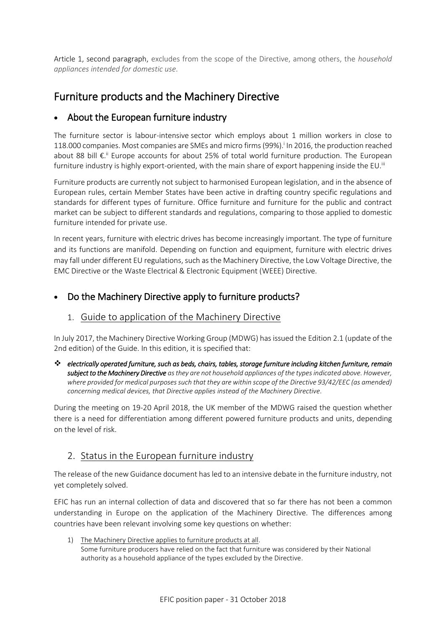Article 1, second paragraph, excludes from the scope of the Directive, among others, the *household appliances intended for domestic use*.

## Furniture products and the Machinery Directive

#### • About the European furniture industry

The furniture sector is labour-intensive sector which employs about 1 million workers in close to 118.000 companies. Most companies are SMEs and micro firms(99%). i In 2016, the production reached about 88 bill €.<sup>ii</sup> Europe accounts for about 25% of total world furniture production. The European furniture industry is highly export-oriented, with the main share of export happening inside the EU.<sup>iii</sup>

Furniture products are currently not subject to harmonised European legislation, and in the absence of European rules, certain Member States have been active in drafting country specific regulations and standards for different types of furniture. Office furniture and furniture for the public and contract market can be subject to different standards and regulations, comparing to those applied to domestic furniture intended for private use.

In recent years, furniture with electric drives has become increasingly important. The type of furniture and its functions are manifold. Depending on function and equipment, furniture with electric drives may fall under different EU regulations, such as the Machinery Directive, the Low Voltage Directive, the EMC Directive or the Waste Electrical & Electronic Equipment (WEEE) Directive.

#### • Do the Machinery Directive apply to furniture products?

#### 1. Guide to application of the Machinery Directive

In July 2017, the Machinery Directive Working Group (MDWG) has issued the Edition 2.1 (update of the 2nd edition) of the Guide. In this edition, it is specified that:

❖ *electrically operated furniture, such as beds, chairs, tables, storage furniture including kitchen furniture, remain subject to the Machinery Directive as they are not household appliances of the types indicated above. However, where provided for medical purposes such that they are within scope of the Directive 93/42/EEC (as amended) concerning medical devices, that Directive applies instead of the Machinery Directive*.

During the meeting on 19-20 April 2018, the UK member of the MDWG raised the question whether there is a need for differentiation among different powered furniture products and units, depending on the level of risk.

#### 2. Status in the European furniture industry

The release of the new Guidance document has led to an intensive debate in the furniture industry, not yet completely solved.

EFIC has run an internal collection of data and discovered that so far there has not been a common understanding in Europe on the application of the Machinery Directive. The differences among countries have been relevant involving some key questions on whether:

1) The Machinery Directive applies to furniture products at all. Some furniture producers have relied on the fact that furniture was considered by their National authority as a household appliance of the types excluded by the Directive.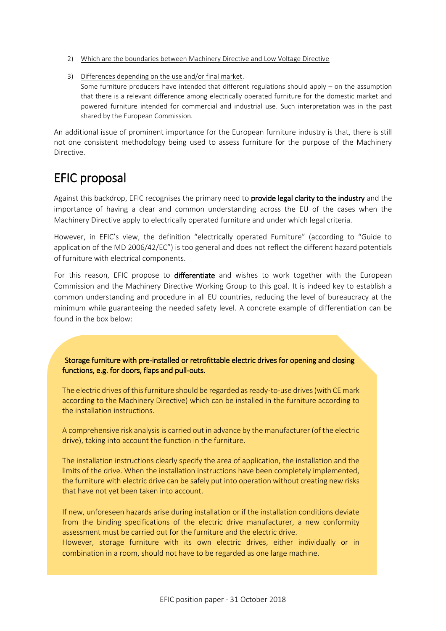- 2) Which are the boundaries between Machinery Directive and Low Voltage Directive
- 3) Differences depending on the use and/or final market. Some furniture producers have intended that different regulations should apply – on the assumption that there is a relevant difference among electrically operated furniture for the domestic market and powered furniture intended for commercial and industrial use. Such interpretation was in the past shared by the European Commission.

An additional issue of prominent importance for the European furniture industry is that, there is still not one consistent methodology being used to assess furniture for the purpose of the Machinery Directive.

# EFIC proposal

Against this backdrop, EFIC recognises the primary need to provide legal clarity to the industry and the importance of having a clear and common understanding across the EU of the cases when the Machinery Directive apply to electrically operated furniture and under which legal criteria.

However, in EFIC's view, the definition "electrically operated Furniture" (according to "Guide to application of the MD 2006/42/EC") is too general and does not reflect the different hazard potentials of furniture with electrical components.

For this reason, EFIC propose to differentiate and wishes to work together with the European Commission and the Machinery Directive Working Group to this goal. It is indeed key to establish a common understanding and procedure in all EU countries, reducing the level of bureaucracy at the minimum while guaranteeing the needed safety level. A concrete example of differentiation can be found in the box below:

Storage furniture with pre-installed or retrofittable electric drives for opening and closing functions, e.g. for doors, flaps and pull-outs.

The electric drives of this furniture should be regarded as ready-to-use drives (with CE mark according to the Machinery Directive) which can be installed in the furniture according to the installation instructions.

A comprehensive risk analysis is carried out in advance by the manufacturer (of the electric drive), taking into account the function in the furniture.

The installation instructions clearly specify the area of application, the installation and the limits of the drive. When the installation instructions have been completely implemented, the furniture with electric drive can be safely put into operation without creating new risks that have not yet been taken into account.

If new, unforeseen hazards arise during installation or if the installation conditions deviate from the binding specifications of the electric drive manufacturer, a new conformity assessment must be carried out for the furniture and the electric drive.

However, storage furniture with its own electric drives, either individually or in combination in a room, should not have to be regarded as one large machine.